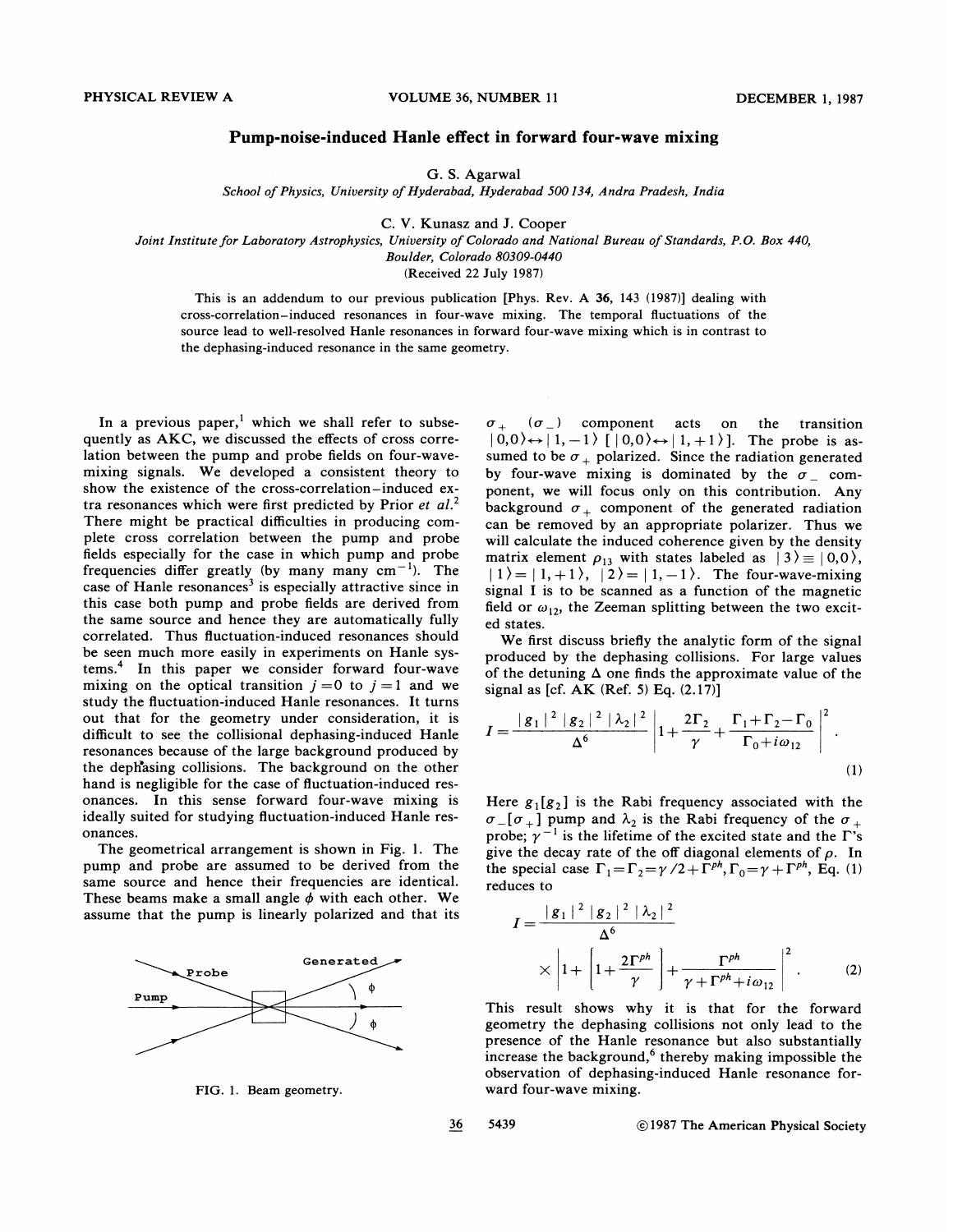## Pump-noise-induced Hanle effect in forward four-wave mixing

G. S. Agarwal

School of Physics, Uniuersity of Hyderabad, Hyderabad 500134, Andra Pradesh, India

C. V. Kunasz and J. Cooper

Joint Institute for Laboratory Astrophysics, Uniuersity of Colorado and National Bureau of Standards, P.O. Box 440,

Boulder, Colorado 80309-0440

(Received 22 July 1987)

This is an addendum to our previous publication [Phys. Rev. A 36, 143 (1987)] dealing with cross-correlation —induced resonances in four-wave mixing. The temporal fluctuations of the source lead to well-resolved Hanle resonances in forward four-wave mixing which is in contrast to the dephasing-induced resonance in the same geometry.

In a previous paper,<sup>1</sup> which we shall refer to subsequently as AKC, we discussed the effects of cross correlation between the pump and probe fields on four-wavemixing signals. We developed a consistent theory to show the existence of the cross-correlation —induced extra resonances which were first predicted by Prior et  $al$ <sup>2</sup>. There might be practical difficulties in producing complete cross correlation between the pump and probe fields especially for the case in which pump and probe frequencies differ greatly (by many many  $cm^{-1}$ ). The case of Hanle resonances<sup>3</sup> is especially attractive since in this case both pump and probe fields are derived from the same source and hence they are automatically fully correlated. Thus fluctuation-induced resonances should be seen much more easily in experiments on Hanle systems.<sup>4</sup> In this paper we consider forward four-wave mixing on the optical transition  $j = 0$  to  $j = 1$  and we study the fluctuation-induced Hanle resonances. It turns out that for the geometry under consideration, it is difficult to see the collisional dephasing-induced Hanle resonances because of the large background produced by the dephasing collisions. The background on the other hand is negligible for the case of fluctuation-induced resonances. In this sense forward four-wave mixing is ideally suited for studying fluctuation-induced Hanle resonances.

The geometrical arrangement is shown in Fig. 1. The pump and probe are assumed to be derived from the same source and hence their frequencies are identical. These beams make a small angle  $\phi$  with each other. We assume that the pump is linearly polarized and that its



FIG. 1. Beam geometry.

 $\sigma_+$  ( $\sigma_-$ ) component acts on the transition  $|0,0\rangle \leftrightarrow |1,-1\rangle$   $|0,0\rangle \leftrightarrow |1,+1\rangle$ . The probe is assumed to be  $\sigma_+$  polarized. Since the radiation generated by four-wave mixing is dominated by the  $\sigma_-$  component, we will focus only on this contribution. Any background  $\sigma_+$  component of the generated radiation can be removed by an appropriate polarizer. Thus we will calculate the induced coherence given by the density matrix element  $\rho_{13}$  with states labeled as  $|3\rangle \equiv |0,0\rangle$ , background  $\sigma_+$  component of the generated radiation<br>can be removed by an appropriate polarizer. Thus we<br>will calculate the induced coherence given by the density<br>matrix element  $\rho_{13}$  with states labeled as  $|3\rangle \equiv |0$  $|1\rangle = |1, +1\rangle, |2\rangle = |1, -1\rangle.$  The four-wave-mixing signal I is to be scanned as a function of the magnetic field or  $\omega_{12}$ , the Zeeman splitting between the two excited states.

We first discuss briefly the analytic form of the signal produced by the dephasing collisions. For large values of the detuning  $\Delta$  one finds the approximate value of the signal as [cf. AK (Ref. 5) Eq. (2.17)]

$$
I = \frac{|g_1|^2 |g_2|^2 |\lambda_2|^2}{\Delta^6} \left| 1 + \frac{2\Gamma_2}{\gamma} + \frac{\Gamma_1 + \Gamma_2 - \Gamma_0}{\Gamma_0 + i\omega_{12}} \right|^2.
$$
\n(1)

Here  $g_1[g_2]$  is the Rabi frequency associated with the  $\sigma$ <sub>-</sub>[ $\sigma$ <sub>+</sub>] pump and  $\lambda$ <sub>2</sub> is the Rabi frequency of the  $\sigma$ <sub>+</sub> probe;  $\gamma^{-1}$  is the lifetime of the excited state and the  $\Gamma$ 's give the decay rate of the off diagonal elements of  $\rho$ . In the special case  $\Gamma_1 = \Gamma_2 = \gamma/2 + \Gamma^{ph}$ ,  $\Gamma_0 = \gamma + \Gamma^{ph}$ , Eq. (1) reduces to

$$
I = \frac{|g_1|^2 |g_2|^2 |\lambda_2|^2}{\Delta^6}
$$
  
 
$$
\times |1 + |1 + \frac{2\Gamma^{ph}}{\gamma}| + \frac{\Gamma^{ph}}{\gamma + \Gamma^{ph} + i\omega_{12}}|^2.
$$
 (2)

This result shows why it is that for the forward geometry the dephasing collisions not only lead to the presence of the Hanle resonance but also substantially increase the background,<sup>6</sup> thereby making impossible the observation of dephasing-induced Hanle resonance forward four-wave mixing.